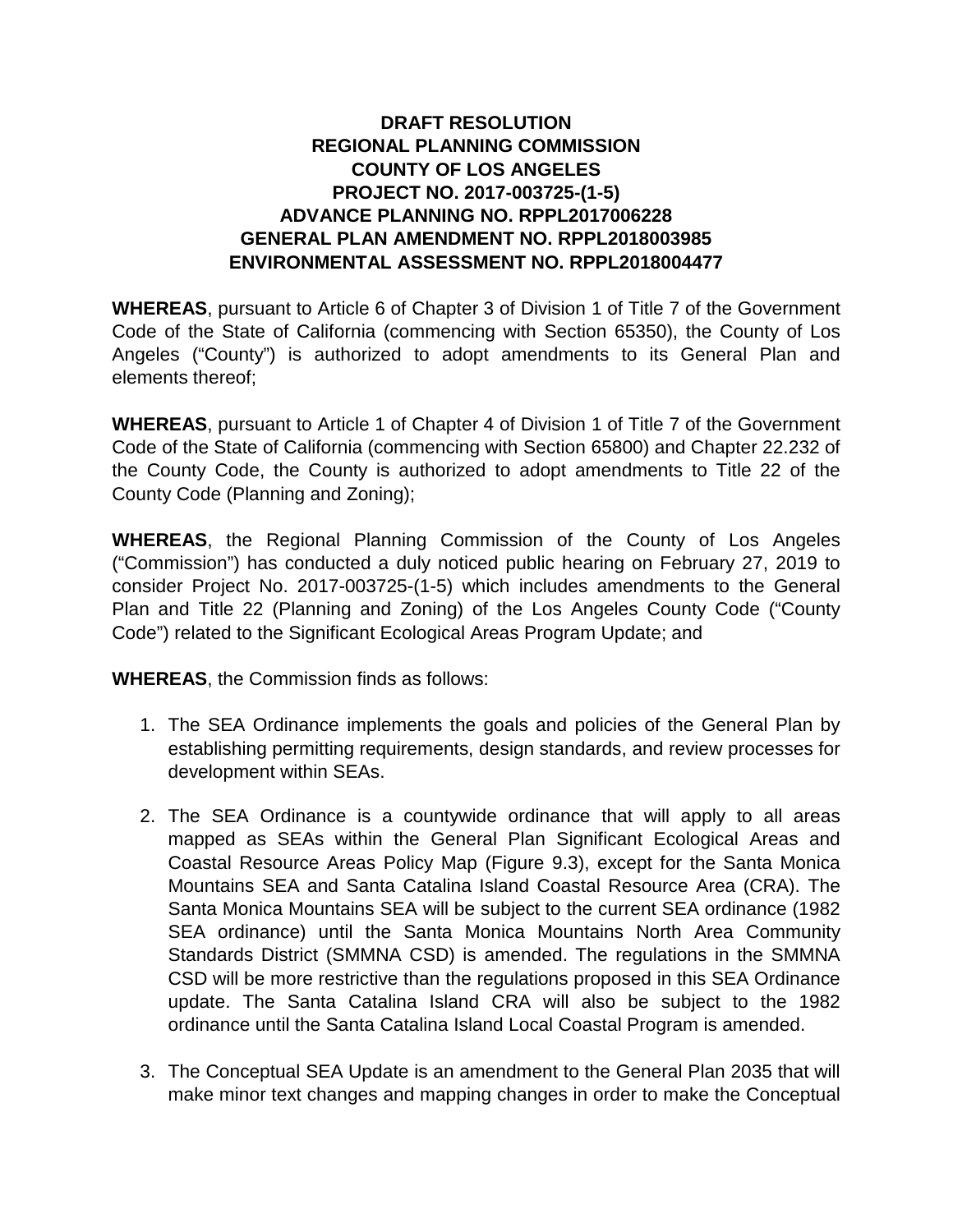# **DRAFT RESOLUTION REGIONAL PLANNING COMMISSION COUNTY OF LOS ANGELES PROJECT NO. 2017-003725-(1-5) ADVANCE PLANNING NO. RPPL2017006228 GENERAL PLAN AMENDMENT NO. RPPL2018003985 ENVIRONMENTAL ASSESSMENT NO. RPPL2018004477**

**WHEREAS**, pursuant to Article 6 of Chapter 3 of Division 1 of Title 7 of the Government Code of the State of California (commencing with Section 65350), the County of Los Angeles ("County") is authorized to adopt amendments to its General Plan and elements thereof;

**WHEREAS**, pursuant to Article 1 of Chapter 4 of Division 1 of Title 7 of the Government Code of the State of California (commencing with Section 65800) and Chapter 22.232 of the County Code, the County is authorized to adopt amendments to Title 22 of the County Code (Planning and Zoning);

**WHEREAS**, the Regional Planning Commission of the County of Los Angeles ("Commission") has conducted a duly noticed public hearing on February 27, 2019 to consider Project No. 2017-003725-(1-5) which includes amendments to the General Plan and Title 22 (Planning and Zoning) of the Los Angeles County Code ("County Code") related to the Significant Ecological Areas Program Update; and

**WHEREAS**, the Commission finds as follows:

- 1. The SEA Ordinance implements the goals and policies of the General Plan by establishing permitting requirements, design standards, and review processes for development within SEAs.
- 2. The SEA Ordinance is a countywide ordinance that will apply to all areas mapped as SEAs within the General Plan Significant Ecological Areas and Coastal Resource Areas Policy Map (Figure 9.3), except for the Santa Monica Mountains SEA and Santa Catalina Island Coastal Resource Area (CRA). The Santa Monica Mountains SEA will be subject to the current SEA ordinance (1982 SEA ordinance) until the Santa Monica Mountains North Area Community Standards District (SMMNA CSD) is amended. The regulations in the SMMNA CSD will be more restrictive than the regulations proposed in this SEA Ordinance update. The Santa Catalina Island CRA will also be subject to the 1982 ordinance until the Santa Catalina Island Local Coastal Program is amended.
- 3. The Conceptual SEA Update is an amendment to the General Plan 2035 that will make minor text changes and mapping changes in order to make the Conceptual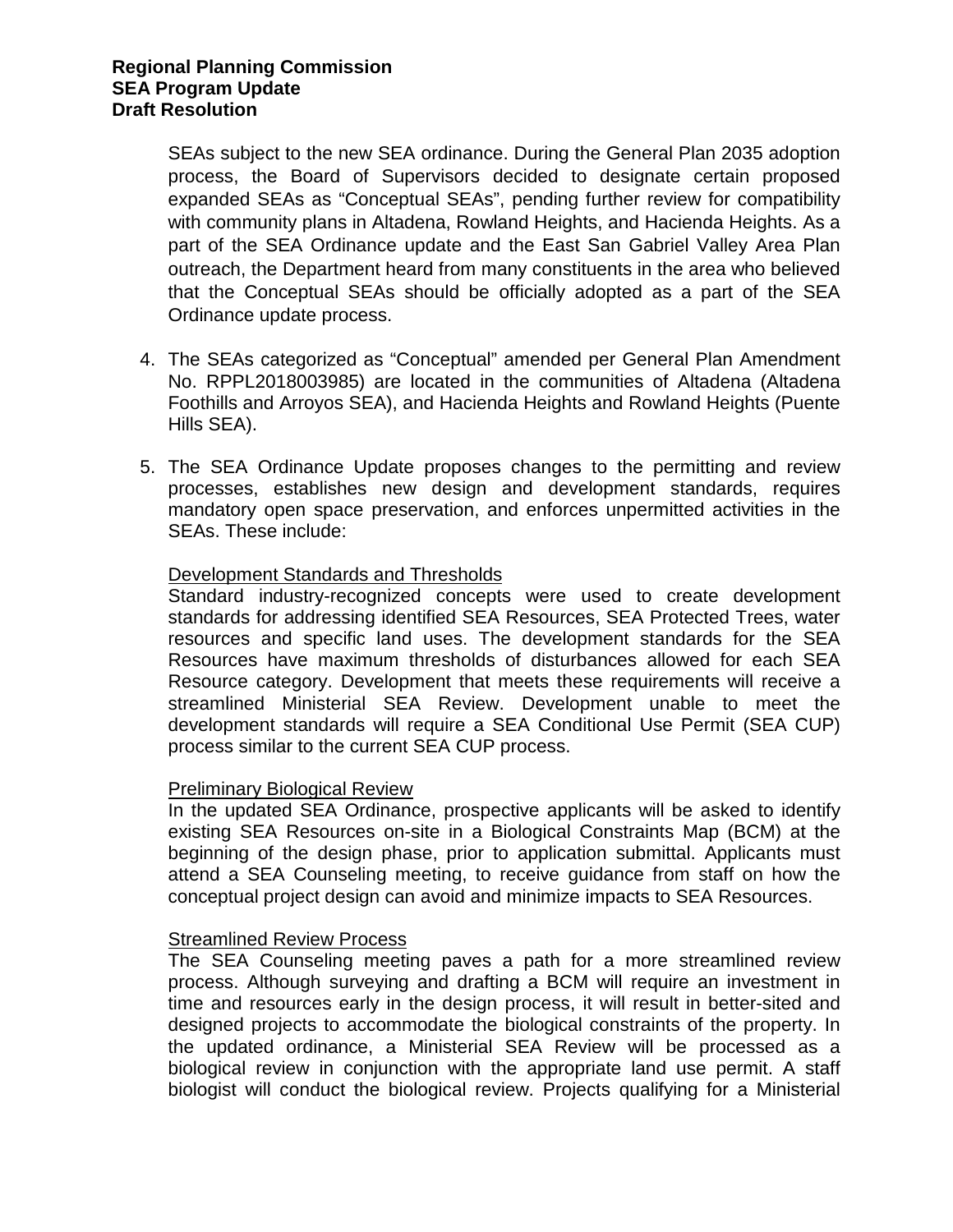SEAs subject to the new SEA ordinance. During the General Plan 2035 adoption process, the Board of Supervisors decided to designate certain proposed expanded SEAs as "Conceptual SEAs", pending further review for compatibility with community plans in Altadena, Rowland Heights, and Hacienda Heights. As a part of the SEA Ordinance update and the East San Gabriel Valley Area Plan outreach, the Department heard from many constituents in the area who believed that the Conceptual SEAs should be officially adopted as a part of the SEA Ordinance update process.

- 4. The SEAs categorized as "Conceptual" amended per General Plan Amendment No. RPPL2018003985) are located in the communities of Altadena (Altadena Foothills and Arroyos SEA), and Hacienda Heights and Rowland Heights (Puente Hills SEA).
- 5. The SEA Ordinance Update proposes changes to the permitting and review processes, establishes new design and development standards, requires mandatory open space preservation, and enforces unpermitted activities in the SEAs. These include:

# Development Standards and Thresholds

Standard industry-recognized concepts were used to create development standards for addressing identified SEA Resources, SEA Protected Trees, water resources and specific land uses. The development standards for the SEA Resources have maximum thresholds of disturbances allowed for each SEA Resource category. Development that meets these requirements will receive a streamlined Ministerial SEA Review. Development unable to meet the development standards will require a SEA Conditional Use Permit (SEA CUP) process similar to the current SEA CUP process.

# Preliminary Biological Review

In the updated SEA Ordinance, prospective applicants will be asked to identify existing SEA Resources on-site in a Biological Constraints Map (BCM) at the beginning of the design phase, prior to application submittal. Applicants must attend a SEA Counseling meeting, to receive guidance from staff on how the conceptual project design can avoid and minimize impacts to SEA Resources.

#### Streamlined Review Process

The SEA Counseling meeting paves a path for a more streamlined review process. Although surveying and drafting a BCM will require an investment in time and resources early in the design process, it will result in better-sited and designed projects to accommodate the biological constraints of the property. In the updated ordinance, a Ministerial SEA Review will be processed as a biological review in conjunction with the appropriate land use permit. A staff biologist will conduct the biological review. Projects qualifying for a Ministerial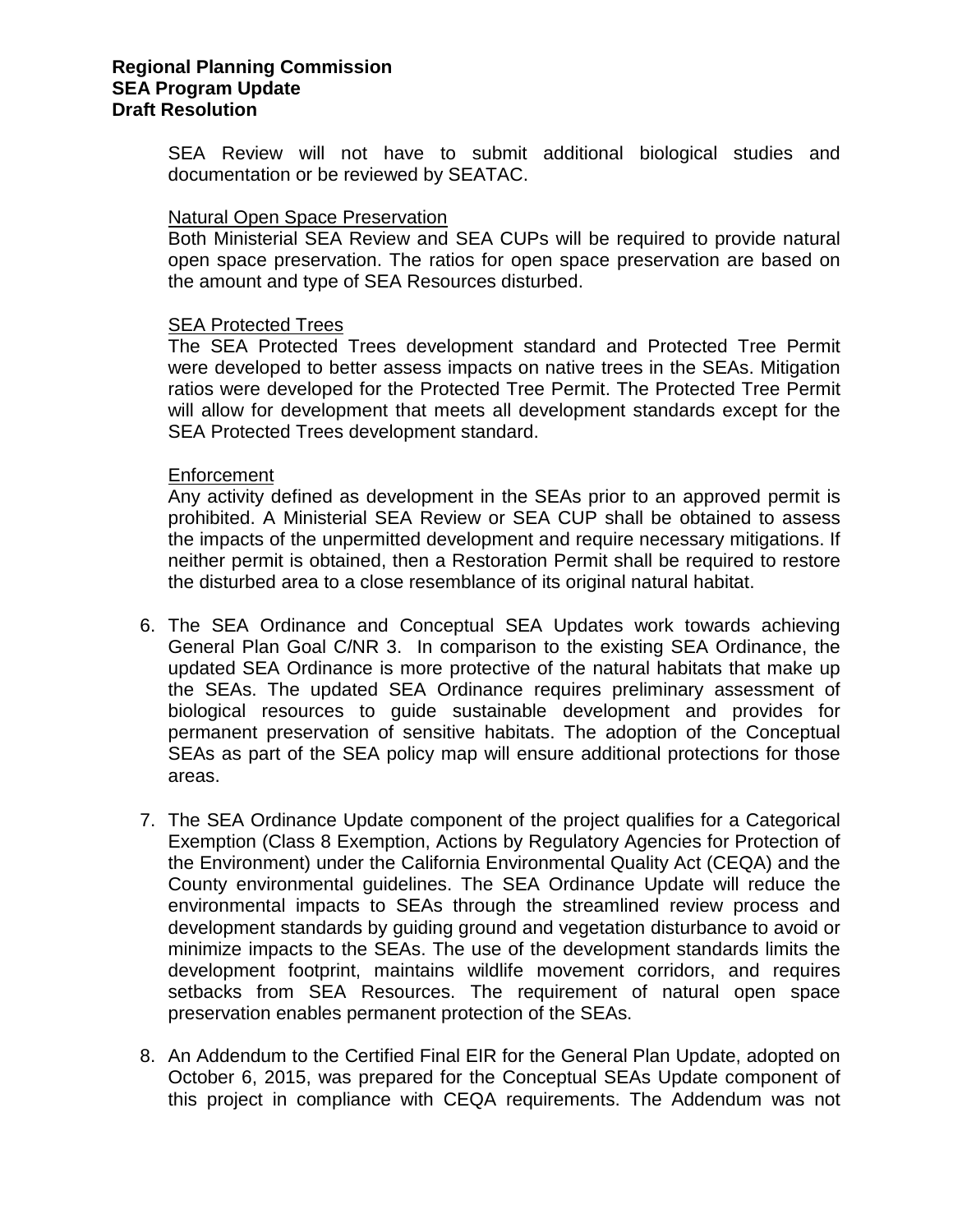### **Regional Planning Commission SEA Program Update Draft Resolution**

SEA Review will not have to submit additional biological studies and documentation or be reviewed by SEATAC.

### Natural Open Space Preservation

Both Ministerial SEA Review and SEA CUPs will be required to provide natural open space preservation. The ratios for open space preservation are based on the amount and type of SEA Resources disturbed.

### SEA Protected Trees

The SEA Protected Trees development standard and Protected Tree Permit were developed to better assess impacts on native trees in the SEAs. Mitigation ratios were developed for the Protected Tree Permit. The Protected Tree Permit will allow for development that meets all development standards except for the SEA Protected Trees development standard.

#### Enforcement

Any activity defined as development in the SEAs prior to an approved permit is prohibited. A Ministerial SEA Review or SEA CUP shall be obtained to assess the impacts of the unpermitted development and require necessary mitigations. If neither permit is obtained, then a Restoration Permit shall be required to restore the disturbed area to a close resemblance of its original natural habitat.

- 6. The SEA Ordinance and Conceptual SEA Updates work towards achieving General Plan Goal C/NR 3. In comparison to the existing SEA Ordinance, the updated SEA Ordinance is more protective of the natural habitats that make up the SEAs. The updated SEA Ordinance requires preliminary assessment of biological resources to guide sustainable development and provides for permanent preservation of sensitive habitats. The adoption of the Conceptual SEAs as part of the SEA policy map will ensure additional protections for those areas.
- 7. The SEA Ordinance Update component of the project qualifies for a Categorical Exemption (Class 8 Exemption, Actions by Regulatory Agencies for Protection of the Environment) under the California Environmental Quality Act (CEQA) and the County environmental guidelines. The SEA Ordinance Update will reduce the environmental impacts to SEAs through the streamlined review process and development standards by guiding ground and vegetation disturbance to avoid or minimize impacts to the SEAs. The use of the development standards limits the development footprint, maintains wildlife movement corridors, and requires setbacks from SEA Resources. The requirement of natural open space preservation enables permanent protection of the SEAs.
- 8. An Addendum to the Certified Final EIR for the General Plan Update, adopted on October 6, 2015, was prepared for the Conceptual SEAs Update component of this project in compliance with CEQA requirements. The Addendum was not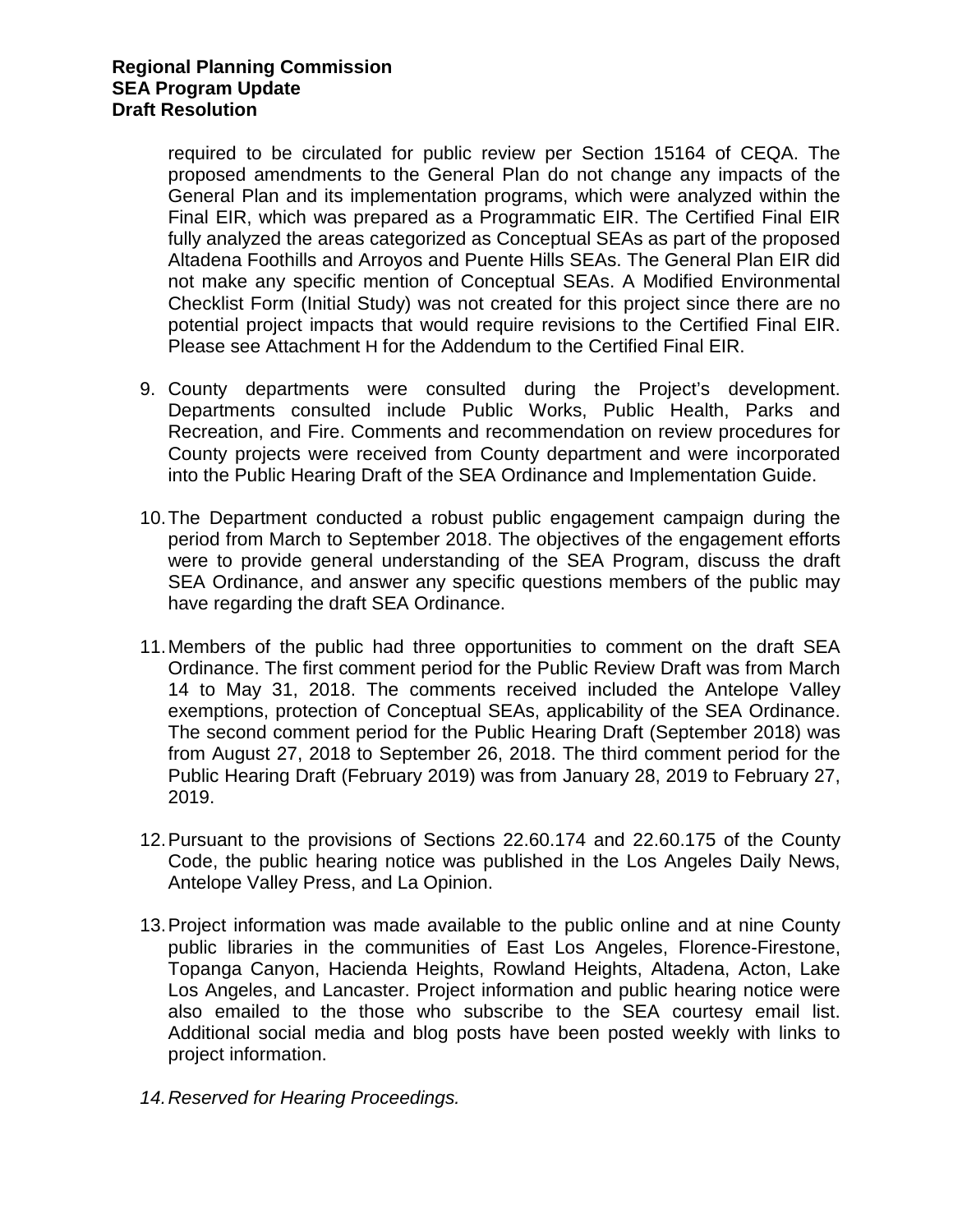required to be circulated for public review per Section 15164 of CEQA. The proposed amendments to the General Plan do not change any impacts of the General Plan and its implementation programs, which were analyzed within the Final EIR, which was prepared as a Programmatic EIR. The Certified Final EIR fully analyzed the areas categorized as Conceptual SEAs as part of the proposed Altadena Foothills and Arroyos and Puente Hills SEAs. The General Plan EIR did not make any specific mention of Conceptual SEAs. A Modified Environmental Checklist Form (Initial Study) was not created for this project since there are no potential project impacts that would require revisions to the Certified Final EIR. Please see Attachment H for the Addendum to the Certified Final EIR.

- 9. County departments were consulted during the Project's development. Departments consulted include Public Works, Public Health, Parks and Recreation, and Fire. Comments and recommendation on review procedures for County projects were received from County department and were incorporated into the Public Hearing Draft of the SEA Ordinance and Implementation Guide.
- 10.The Department conducted a robust public engagement campaign during the period from March to September 2018. The objectives of the engagement efforts were to provide general understanding of the SEA Program, discuss the draft SEA Ordinance, and answer any specific questions members of the public may have regarding the draft SEA Ordinance.
- 11.Members of the public had three opportunities to comment on the draft SEA Ordinance. The first comment period for the Public Review Draft was from March 14 to May 31, 2018. The comments received included the Antelope Valley exemptions, protection of Conceptual SEAs, applicability of the SEA Ordinance. The second comment period for the Public Hearing Draft (September 2018) was from August 27, 2018 to September 26, 2018. The third comment period for the Public Hearing Draft (February 2019) was from January 28, 2019 to February 27, 2019.
- 12.Pursuant to the provisions of Sections 22.60.174 and 22.60.175 of the County Code, the public hearing notice was published in the Los Angeles Daily News, Antelope Valley Press, and La Opinion.
- 13.Project information was made available to the public online and at nine County public libraries in the communities of East Los Angeles, Florence-Firestone, Topanga Canyon, Hacienda Heights, Rowland Heights, Altadena, Acton, Lake Los Angeles, and Lancaster. Project information and public hearing notice were also emailed to the those who subscribe to the SEA courtesy email list. Additional social media and blog posts have been posted weekly with links to project information.
- *14.Reserved for Hearing Proceedings.*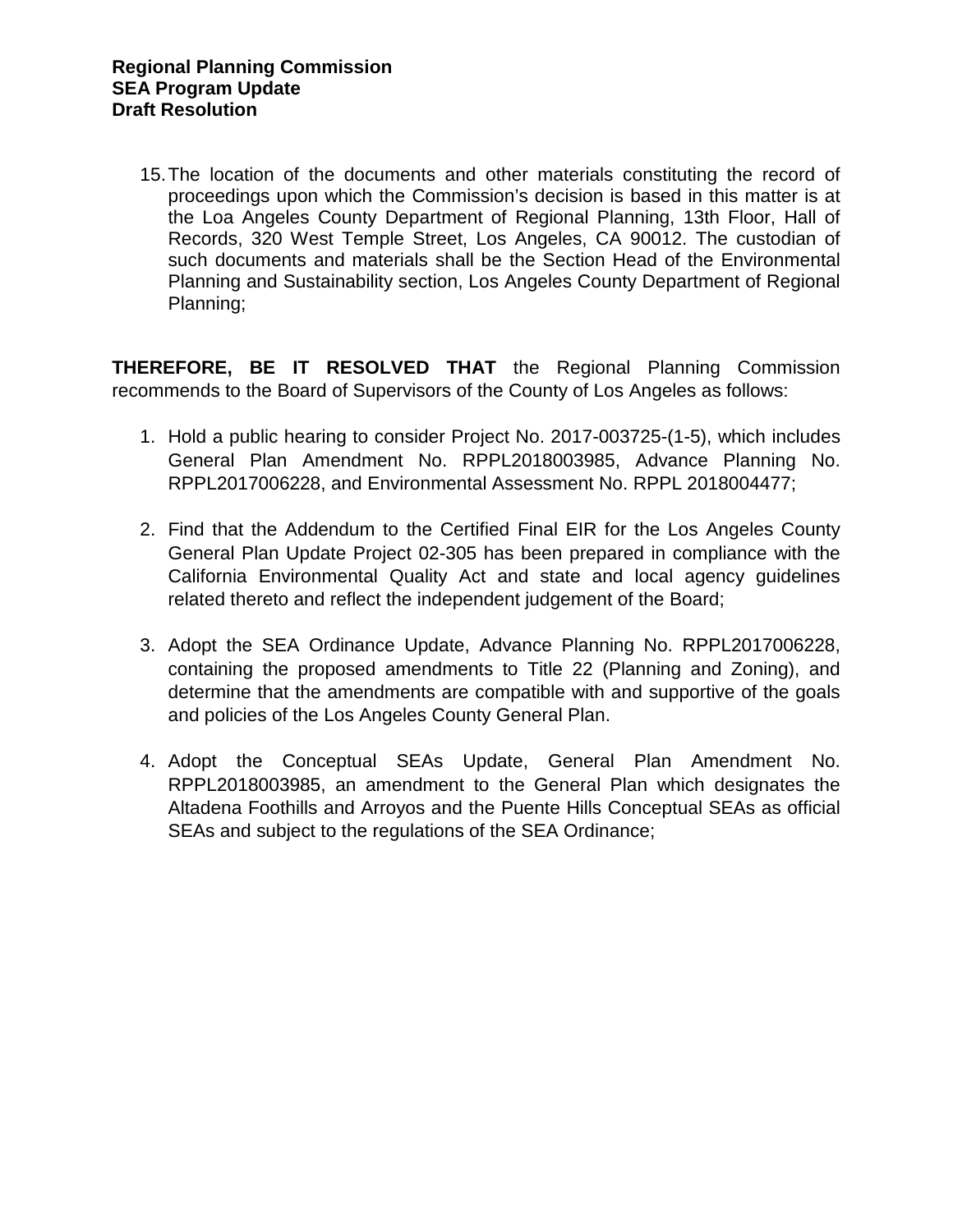15.The location of the documents and other materials constituting the record of proceedings upon which the Commission's decision is based in this matter is at the Loa Angeles County Department of Regional Planning, 13th Floor, Hall of Records, 320 West Temple Street, Los Angeles, CA 90012. The custodian of such documents and materials shall be the Section Head of the Environmental Planning and Sustainability section, Los Angeles County Department of Regional Planning;

**THEREFORE, BE IT RESOLVED THAT** the Regional Planning Commission recommends to the Board of Supervisors of the County of Los Angeles as follows:

- 1. Hold a public hearing to consider Project No. 2017-003725-(1-5), which includes General Plan Amendment No. RPPL2018003985, Advance Planning No. RPPL2017006228, and Environmental Assessment No. RPPL 2018004477;
- 2. Find that the Addendum to the Certified Final EIR for the Los Angeles County General Plan Update Project 02-305 has been prepared in compliance with the California Environmental Quality Act and state and local agency guidelines related thereto and reflect the independent judgement of the Board;
- 3. Adopt the SEA Ordinance Update, Advance Planning No. RPPL2017006228, containing the proposed amendments to Title 22 (Planning and Zoning), and determine that the amendments are compatible with and supportive of the goals and policies of the Los Angeles County General Plan.
- 4. Adopt the Conceptual SEAs Update, General Plan Amendment No. RPPL2018003985, an amendment to the General Plan which designates the Altadena Foothills and Arroyos and the Puente Hills Conceptual SEAs as official SEAs and subject to the regulations of the SEA Ordinance;